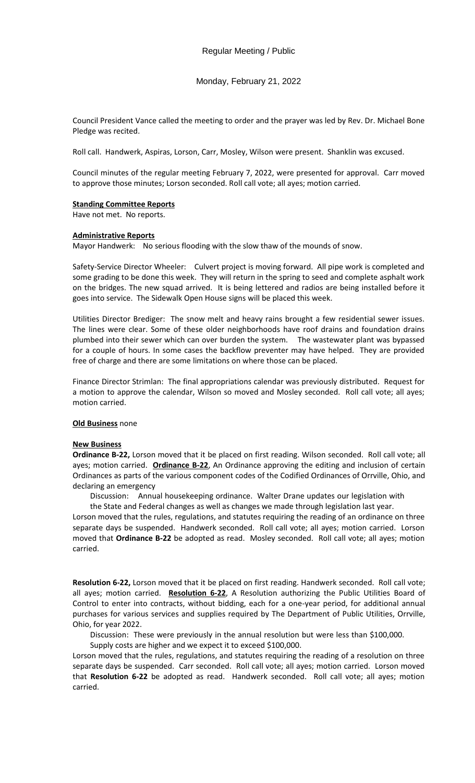Monday, February 21, 2022

Council President Vance called the meeting to order and the prayer was led by Rev. Dr. Michael Bone Pledge was recited.

Roll call. Handwerk, Aspiras, Lorson, Carr, Mosley, Wilson were present. Shanklin was excused.

Council minutes of the regular meeting February 7, 2022, were presented for approval. Carr moved to approve those minutes; Lorson seconded. Roll call vote; all ayes; motion carried.

### **Standing Committee Reports**

Have not met. No reports.

### **Administrative Reports**

Mayor Handwerk: No serious flooding with the slow thaw of the mounds of snow.

Safety-Service Director Wheeler: Culvert project is moving forward. All pipe work is completed and some grading to be done this week. They will return in the spring to seed and complete asphalt work on the bridges. The new squad arrived. It is being lettered and radios are being installed before it goes into service. The Sidewalk Open House signs will be placed this week.

Utilities Director Brediger: The snow melt and heavy rains brought a few residential sewer issues. The lines were clear. Some of these older neighborhoods have roof drains and foundation drains plumbed into their sewer which can over burden the system. The wastewater plant was bypassed for a couple of hours. In some cases the backflow preventer may have helped. They are provided free of charge and there are some limitations on where those can be placed.

Finance Director Strimlan: The final appropriations calendar was previously distributed. Request for a motion to approve the calendar, Wilson so moved and Mosley seconded. Roll call vote; all ayes; motion carried.

## **Old Business** none

### **New Business**

**Ordinance B-22,** Lorson moved that it be placed on first reading. Wilson seconded. Roll call vote; all ayes; motion carried. **Ordinance B-22**, An Ordinance approving the editing and inclusion of certain Ordinances as parts of the various component codes of the Codified Ordinances of Orrville, Ohio, and declaring an emergency

Discussion: Annual housekeeping ordinance. Walter Drane updates our legislation with

the State and Federal changes as well as changes we made through legislation last year.

Lorson moved that the rules, regulations, and statutes requiring the reading of an ordinance on three separate days be suspended. Handwerk seconded. Roll call vote; all ayes; motion carried. Lorson moved that **Ordinance B-22** be adopted as read. Mosley seconded. Roll call vote; all ayes; motion carried.

**Resolution 6-22,** Lorson moved that it be placed on first reading. Handwerk seconded. Roll call vote; all ayes; motion carried. **Resolution 6-22**, A Resolution authorizing the Public Utilities Board of Control to enter into contracts, without bidding, each for a one-year period, for additional annual purchases for various services and supplies required by The Department of Public Utilities, Orrville, Ohio, for year 2022.

Discussion: These were previously in the annual resolution but were less than \$100,000.

Supply costs are higher and we expect it to exceed \$100,000.

Lorson moved that the rules, regulations, and statutes requiring the reading of a resolution on three separate days be suspended. Carr seconded. Roll call vote; all ayes; motion carried. Lorson moved that **Resolution 6-22** be adopted as read. Handwerk seconded. Roll call vote; all ayes; motion carried.